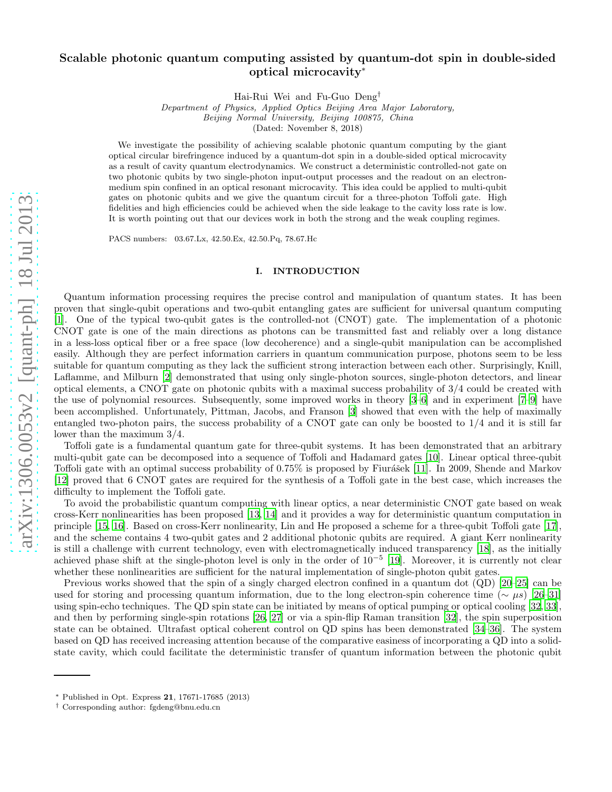# Scalable photonic quantum computing assisted by quantum-dot spin in double-sided optical microcavity<sup>∗</sup>

Hai-Rui Wei and Fu-Guo Deng†

Department of Physics, Applied Optics Beijing Area Major Laboratory, Beijing Normal University, Beijing 100875, China (Dated: November 8, 2018)

We investigate the possibility of achieving scalable photonic quantum computing by the giant optical circular birefringence induced by a quantum-dot spin in a double-sided optical microcavity as a result of cavity quantum electrodynamics. We construct a deterministic controlled-not gate on two photonic qubits by two single-photon input-output processes and the readout on an electronmedium spin confined in an optical resonant microcavity. This idea could be applied to multi-qubit gates on photonic qubits and we give the quantum circuit for a three-photon Toffoli gate. High fidelities and high efficiencies could be achieved when the side leakage to the cavity loss rate is low. It is worth pointing out that our devices work in both the strong and the weak coupling regimes.

PACS numbers: 03.67.Lx, 42.50.Ex, 42.50.Pq, 78.67.Hc

#### I. INTRODUCTION

Quantum information processing requires the precise control and manipulation of quantum states. It has been proven that single-qubit operations and two-qubit entangling gates are sufficient for universal quantum computing [\[1\]](#page-9-0). One of the typical two-qubit gates is the controlled-not (CNOT) gate. The implementation of a photonic CNOT gate is one of the main directions as photons can be transmitted fast and reliably over a long distance in a less-loss optical fiber or a free space (low decoherence) and a single-qubit manipulation can be accomplished easily. Although they are perfect information carriers in quantum communication purpose, photons seem to be less suitable for quantum computing as they lack the sufficient strong interaction between each other. Surprisingly, Knill, Laflamme, and Milburn [\[2\]](#page-9-1) demonstrated that using only single-photon sources, single-photon detectors, and linear optical elements, a CNOT gate on photonic qubits with a maximal success probability of 3/4 could be created with the use of polynomial resources. Subsequently, some improved works in theory [\[3](#page-9-2)[–6\]](#page-9-3) and in experiment [\[7](#page-9-4)[–9\]](#page-9-5) have been accomplished. Unfortunately, Pittman, Jacobs, and Franson [\[3\]](#page-9-2) showed that even with the help of maximally entangled two-photon pairs, the success probability of a CNOT gate can only be boosted to  $1/4$  and it is still far lower than the maximum 3/4.

Toffoli gate is a fundamental quantum gate for three-qubit systems. It has been demonstrated that an arbitrary multi-qubit gate can be decomposed into a sequence of Toffoli and Hadamard gates [\[10](#page-9-6)]. Linear optical three-qubit Toffoli gate with an optimal success probability of  $0.75\%$  is proposed by Fiurášek [\[11](#page-9-7)]. In 2009, Shende and Markov [\[12\]](#page-9-8) proved that 6 CNOT gates are required for the synthesis of a Toffoli gate in the best case, which increases the difficulty to implement the Toffoli gate.

To avoid the probabilistic quantum computing with linear optics, a near deterministic CNOT gate based on weak cross-Kerr nonlinearities has been proposed [\[13,](#page-9-9) [14\]](#page-9-10) and it provides a way for deterministic quantum computation in principle [\[15,](#page-9-11) [16](#page-10-0)]. Based on cross-Kerr nonlinearity, Lin and He proposed a scheme for a three-qubit Toffoli gate [\[17\]](#page-10-1), and the scheme contains 4 two-qubit gates and 2 additional photonic qubits are required. A giant Kerr nonlinearity is still a challenge with current technology, even with electromagnetically induced transparency [\[18](#page-10-2)], as the initially achieved phase shift at the single-photon level is only in the order of 10−<sup>5</sup> [\[19](#page-10-3)]. Moreover, it is currently not clear whether these nonlinearities are sufficient for the natural implementation of single-photon qubit gates.

Previous works showed that the spin of a singly charged electron confined in a quantum dot (QD) [\[20](#page-10-4)[–25](#page-10-5)] can be used for storing and processing quantum information, due to the long electron-spin coherence time ( $\sim \mu s$ ) [\[26](#page-10-6)[–31\]](#page-10-7) using spin-echo techniques. The QD spin state can be initiated by means of optical pumping or optical cooling [\[32](#page-10-8), [33\]](#page-10-9), and then by performing single-spin rotations [\[26](#page-10-6), [27\]](#page-10-10) or via a spin-flip Raman transition [\[32](#page-10-8)], the spin superposition state can be obtained. Ultrafast optical coherent control on QD spins has been demonstrated [\[34](#page-10-11)[–36](#page-10-12)]. The system based on QD has received increasing attention because of the comparative easiness of incorporating a QD into a solidstate cavity, which could facilitate the deterministic transfer of quantum information between the photonic qubit

<sup>∗</sup> Published in Opt. Express 21, 17671-17685 (2013)

<sup>†</sup> Corresponding author: fgdeng@bnu.edu.cn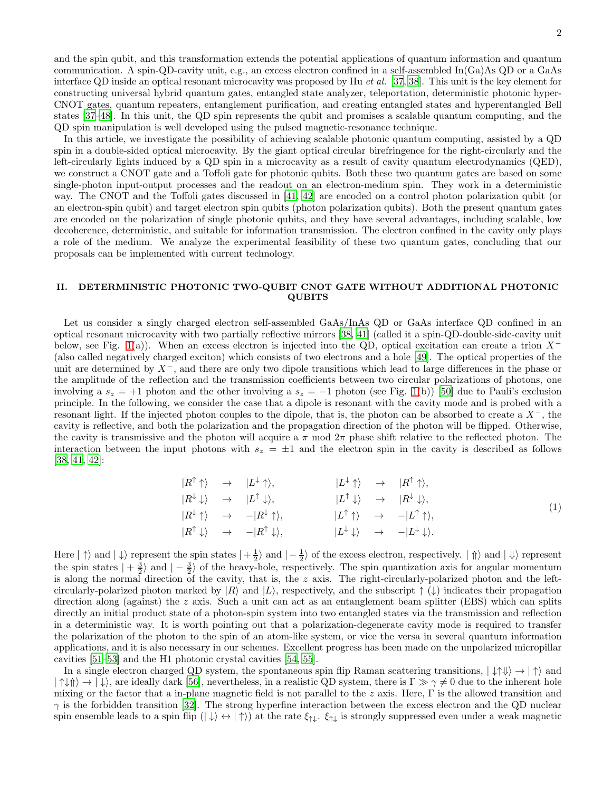and the spin qubit, and this transformation extends the potential applications of quantum information and quantum communication. A spin-QD-cavity unit, e.g., an excess electron confined in a self-assembled In(Ga)As QD or a GaAs interface QD inside an optical resonant microcavity was proposed by Hu et al. [\[37,](#page-10-13) [38](#page-10-14)]. This unit is the key element for constructing universal hybrid quantum gates, entangled state analyzer, teleportation, deterministic photonic hyper-CNOT gates, quantum repeaters, entanglement purification, and creating entangled states and hyperentangled Bell states [\[37](#page-10-13)[–48\]](#page-11-0). In this unit, the QD spin represents the qubit and promises a scalable quantum computing, and the QD spin manipulation is well developed using the pulsed magnetic-resonance technique.

In this article, we investigate the possibility of achieving scalable photonic quantum computing, assisted by a QD spin in a double-sided optical microcavity. By the giant optical circular birefringence for the right-circularly and the left-circularly lights induced by a QD spin in a microcavity as a result of cavity quantum electrodynamics (QED), we construct a CNOT gate and a Toffoli gate for photonic qubits. Both these two quantum gates are based on some single-photon input-output processes and the readout on an electron-medium spin. They work in a deterministic way. The CNOT and the Toffoli gates discussed in [\[41,](#page-10-15) [42](#page-10-16)] are encoded on a control photon polarization qubit (or an electron-spin qubit) and target electron spin qubits (photon polarization qubits). Both the present quantum gates are encoded on the polarization of single photonic qubits, and they have several advantages, including scalable, low decoherence, deterministic, and suitable for information transmission. The electron confined in the cavity only plays a role of the medium. We analyze the experimental feasibility of these two quantum gates, concluding that our proposals can be implemented with current technology.

## II. DETERMINISTIC PHOTONIC TWO-QUBIT CNOT GATE WITHOUT ADDITIONAL PHOTONIC QUBITS

Let us consider a singly charged electron self-assembled GaAs/InAs QD or GaAs interface QD confined in an optical resonant microcavity with two partially reflective mirrors [\[38](#page-10-14), [41](#page-10-15)] (called it a spin-QD-double-side-cavity unit below, see Fig. [1\(](#page-2-0)a)). When an excess electron is injected into the QD, optical excitation can create a trion  $X^-$ (also called negatively charged exciton) which consists of two electrons and a hole [\[49\]](#page-11-1). The optical properties of the unit are determined by X<sup>−</sup>, and there are only two dipole transitions which lead to large differences in the phase or the amplitude of the reflection and the transmission coefficients between two circular polarizations of photons, one involving a  $s_z = +1$  photon and the other involving a  $s_z = -1$  photon (see Fig. [1\(](#page-2-0)b)) [\[50](#page-11-2)] due to Pauli's exclusion principle. In the following, we consider the case that a dipole is resonant with the cavity mode and is probed with a resonant light. If the injected photon couples to the dipole, that is, the photon can be absorbed to create a  $X^-$ , the cavity is reflective, and both the polarization and the propagation direction of the photon will be flipped. Otherwise, the cavity is transmissive and the photon will acquire a  $\pi$  mod  $2\pi$  phase shift relative to the reflected photon. The interaction between the input photons with  $s_z = \pm 1$  and the electron spin in the cavity is described as follows [\[38,](#page-10-14) [41,](#page-10-15) [42\]](#page-10-16):

$$
|R^{\uparrow} \uparrow\rangle \rightarrow |L^{\downarrow} \uparrow\rangle, \qquad |L^{\downarrow} \uparrow\rangle \rightarrow |R^{\uparrow} \uparrow\rangle, |R^{\downarrow} \downarrow\rangle \rightarrow |L^{\uparrow} \downarrow\rangle, \qquad |L^{\uparrow} \downarrow\rangle \rightarrow |R^{\downarrow} \downarrow\rangle, |R^{\downarrow} \uparrow\rangle \rightarrow -|R^{\downarrow} \uparrow\rangle, \qquad |L^{\uparrow} \uparrow\rangle \rightarrow -|L^{\uparrow} \uparrow\rangle, |R^{\uparrow} \downarrow\rangle \rightarrow -|R^{\uparrow} \downarrow\rangle, \qquad |L^{\downarrow} \downarrow\rangle \rightarrow -|L^{\downarrow} \downarrow\rangle.
$$
\n(1)

<span id="page-1-0"></span>Here  $|\uparrow\rangle$  and  $|\downarrow\rangle$  represent the spin states  $|+\frac{1}{2}\rangle$  and  $|-\frac{1}{2}\rangle$  of the excess electron, respectively.  $|\uparrow\rangle$  and  $|\downarrow\rangle$  represent the spin states  $\left| +\frac{3}{2} \right\rangle$  and  $\left| -\frac{3}{2} \right\rangle$  of the heavy-hole, respectively. The spin quantization axis for angular momentum is along the normal direction of the cavity, that is, the  $z$  axis. The right-circularly-polarized photon and the leftcircularly-polarized photon marked by  $|R\rangle$  and  $|L\rangle$ , respectively, and the subscript  $\uparrow(\downarrow)$  indicates their propagation direction along (against) the z axis. Such a unit can act as an entanglement beam splitter (EBS) which can splits directly an initial product state of a photon-spin system into two entangled states via the transmission and reflection in a deterministic way. It is worth pointing out that a polarization-degenerate cavity mode is required to transfer the polarization of the photon to the spin of an atom-like system, or vice the versa in several quantum information applications, and it is also necessary in our schemes. Excellent progress has been made on the unpolarized micropillar cavities [\[51](#page-11-3)[–53](#page-11-4)] and the H1 photonic crystal cavities [\[54](#page-11-5), [55](#page-11-6)].

In a single electron charged QD system, the spontaneous spin flip Raman scattering transitions,  $|\downarrow \uparrow \Downarrow \rangle \rightarrow |\uparrow \rangle$  and  $|\uparrow\downarrow\,\uparrow\rangle \rightarrow |\downarrow\rangle$ , are ideally dark [\[56](#page-11-7)], nevertheless, in a realistic QD system, there is  $\Gamma \gg \gamma \neq 0$  due to the inherent hole mixing or the factor that a in-plane magnetic field is not parallel to the z axis. Here,  $\Gamma$  is the allowed transition and  $\gamma$  is the forbidden transition [\[32](#page-10-8)]. The strong hyperfine interaction between the excess electron and the QD nuclear spin ensemble leads to a spin flip  $(| \downarrow \rangle \leftrightarrow | \uparrow \rangle)$  at the rate  $\xi_{\uparrow \downarrow}$ .  $\xi_{\uparrow \downarrow}$  is strongly suppressed even under a weak magnetic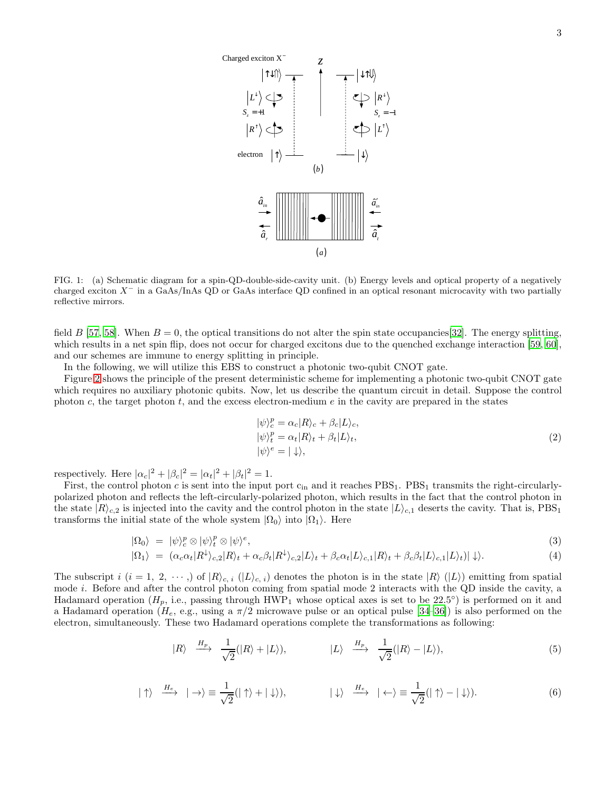

<span id="page-2-0"></span>FIG. 1: (a) Schematic diagram for a spin-QD-double-side-cavity unit. (b) Energy levels and optical property of a negatively charged exciton X<sup>−</sup> in a GaAs/InAs QD or GaAs interface QD confined in an optical resonant microcavity with two partially reflective mirrors.

field B [\[57,](#page-11-8) [58\]](#page-11-9). When  $B = 0$ , the optical transitions do not alter the spin state occupancies [\[32\]](#page-10-8). The energy splitting, which results in a net spin flip, does not occur for charged excitons due to the quenched exchange interaction [\[59,](#page-11-10) [60\]](#page-11-11), and our schemes are immune to energy splitting in principle.

In the following, we will utilize this EBS to construct a photonic two-qubit CNOT gate.

Figure [2](#page-3-0) shows the principle of the present deterministic scheme for implementing a photonic two-qubit CNOT gate which requires no auxiliary photonic qubits. Now, let us describe the quantum circuit in detail. Suppose the control photon c, the target photon t, and the excess electron-medium  $e$  in the cavity are prepared in the states

$$
|\psi\rangle_c^p = \alpha_c |R\rangle_c + \beta_c |L\rangle_c, |\psi\rangle_t^p = \alpha_t |R\rangle_t + \beta_t |L\rangle_t, |\psi\rangle^e = |\downarrow\rangle,
$$
 (2)

respectively. Here  $|\alpha_c|^2 + |\beta_c|^2 = |\alpha_t|^2 + |\beta_t|^2 = 1$ .

First, the control photon c is sent into the input port  $c_{in}$  and it reaches PBS<sub>1</sub>. PBS<sub>1</sub> transmits the right-circularlypolarized photon and reflects the left-circularly-polarized photon, which results in the fact that the control photon in the state  $|R\rangle_{c,2}$  is injected into the cavity and the control photon in the state  $|L\rangle_{c,1}$  deserts the cavity. That is, PBS<sub>1</sub> transforms the initial state of the whole system  $|\Omega_0\rangle$  into  $|\Omega_1\rangle$ . Here

$$
|\Omega_0\rangle = |\psi\rangle_c^p \otimes |\psi\rangle_t^p \otimes |\psi\rangle^e,
$$
\n(3)

$$
|\Omega_1\rangle = (\alpha_c \alpha_t |R^{\downarrow}\rangle_{c,2}|R\rangle_t + \alpha_c \beta_t |R^{\downarrow}\rangle_{c,2}|L\rangle_t + \beta_c \alpha_t |L\rangle_{c,1}|R\rangle_t + \beta_c \beta_t |L\rangle_{c,1}|L\rangle_t)|\downarrow\rangle. \tag{4}
$$

The subscript  $i$   $(i = 1, 2, \cdots)$  of  $|R\rangle_{c, i}$   $(|L\rangle_{c, i})$  denotes the photon is in the state  $|R\rangle$   $(|L\rangle)$  emitting from spatial mode i. Before and after the control photon coming from spatial mode 2 interacts with the QD inside the cavity, a Hadamard operation  $(H_p, i.e.,$  passing through  $HWP_1$  whose optical axes is set to be  $22.5^{\circ}$ ) is performed on it and a Hadamard operation  $(H_e, e.g.,$  using a  $\pi/2$  microwave pulse or an optical pulse [\[34](#page-10-11)[–36\]](#page-10-12)) is also performed on the electron, simultaneously. These two Hadamard operations complete the transformations as following:

$$
|R\rangle \xrightarrow{H_p} \frac{1}{\sqrt{2}}(|R\rangle + |L\rangle), \qquad |L\rangle \xrightarrow{H_p} \frac{1}{\sqrt{2}}(|R\rangle - |L\rangle), \qquad (5)
$$

$$
|\uparrow\rangle \xrightarrow{H_e} |\rightarrow\rangle \equiv \frac{1}{\sqrt{2}}(|\uparrow\rangle + |\downarrow\rangle), \qquad |\downarrow\rangle \xrightarrow{H_e} |\leftarrow\rangle \equiv \frac{1}{\sqrt{2}}(|\uparrow\rangle - |\downarrow\rangle). \tag{6}
$$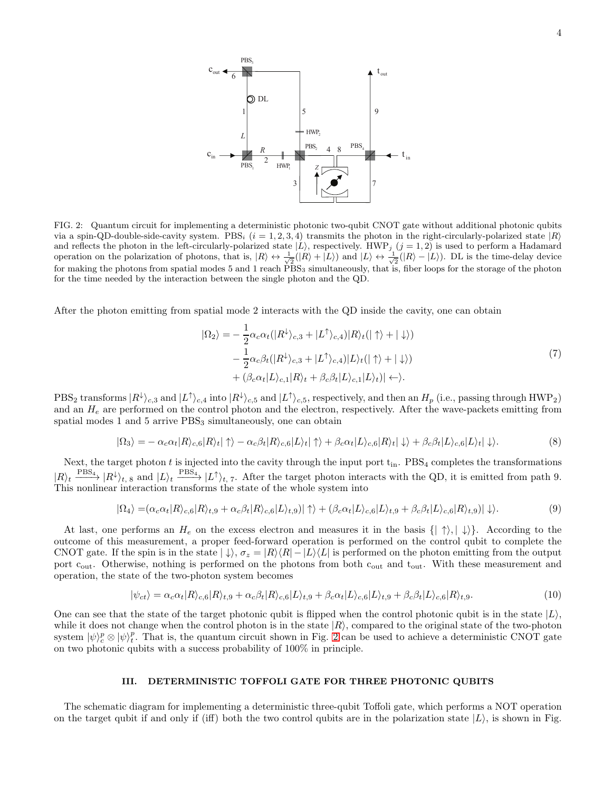

<span id="page-3-0"></span>FIG. 2: Quantum circuit for implementing a deterministic photonic two-qubit CNOT gate without additional photonic qubits via a spin-QD-double-side-cavity system. PBS<sub>i</sub>  $(i = 1, 2, 3, 4)$  transmits the photon in the right-circularly-polarized state  $|R\rangle$ and reflects the photon in the left-circularly-polarized state  $|L\rangle$ , respectively. HWP<sub>j</sub> (j = 1, 2) is used to perform a Hadamard operation on the polarization of photons, that is,  $|R\rangle \leftrightarrow \frac{1}{\sqrt{2}}(|R\rangle + |L\rangle)$  and  $|L\rangle \leftrightarrow \frac{1}{\sqrt{2}}(|R\rangle - |L\rangle)$ . DL is the time-delay device for making the photons from spatial modes 5 and 1 reach PBS<sub>3</sub> simultaneously, that is, fiber loops for the storage of the photon for the time needed by the interaction between the single photon and the QD.

After the photon emitting from spatial mode 2 interacts with the QD inside the cavity, one can obtain

$$
|\Omega_2\rangle = -\frac{1}{2}\alpha_c \alpha_t (|R^{\downarrow}\rangle_{c,3} + |L^{\uparrow}\rangle_{c,4})|R\rangle_t (|\uparrow\rangle + |\downarrow\rangle) - \frac{1}{2}\alpha_c \beta_t (|R^{\downarrow}\rangle_{c,3} + |L^{\uparrow}\rangle_{c,4})|L\rangle_t (|\uparrow\rangle + |\downarrow\rangle) + (\beta_c \alpha_t |L\rangle_{c,1}|R\rangle_t + \beta_c \beta_t |L\rangle_{c,1}|L\rangle_t)| \leftarrow \rangle.
$$
\n(7)

 $\text{PBS}_2$  transforms  $|R^{\downarrow}\rangle_{c,3}$  and  $|L^{\uparrow}\rangle_{c,4}$  into  $|R^{\downarrow}\rangle_{c,5}$  and  $|L^{\uparrow}\rangle_{c,5}$ , respectively, and then an  $H_p$  (i.e., passing through HWP<sub>2</sub>) and an  $H_e$  are performed on the control photon and the electron, respectively. After the wave-packets emitting from spatial modes  $1$  and  $5$  arrive  $PBS<sub>3</sub>$  simultaneously, one can obtain

$$
|\Omega_3\rangle = -\alpha_c \alpha_t |R\rangle_{c,6}|R\rangle_t |\uparrow\rangle - \alpha_c \beta_t |R\rangle_{c,6}|L\rangle_t |\uparrow\rangle + \beta_c \alpha_t |L\rangle_{c,6}|R\rangle_t |\downarrow\rangle + \beta_c \beta_t |L\rangle_{c,6}|L\rangle_t |\downarrow\rangle.
$$
 (8)

Next, the target photon t is injected into the cavity through the input port  $t_{in}$ . PBS<sub>4</sub> completes the transformations  $|R\rangle_t \xrightarrow{\text{PBS}_4} |R^{\downarrow}\rangle_{t, 8}$  and  $|L\rangle_t \xrightarrow{\text{PBS}_4} |L^{\uparrow}\rangle_{t, 7}$ . After the target photon interacts with the QD, it is emitted from path 9. This nonlinear interaction transforms the state of the whole system into

$$
|\Omega_4\rangle = (\alpha_c \alpha_t |R\rangle_{c,6}|R\rangle_{t,9} + \alpha_c \beta_t |R\rangle_{c,6}|L\rangle_{t,9})|\uparrow\rangle + (\beta_c \alpha_t |L\rangle_{c,6}|L\rangle_{t,9} + \beta_c \beta_t |L\rangle_{c,6}|R\rangle_{t,9})|\downarrow\rangle.
$$
\n(9)

At last, one performs an  $H_e$  on the excess electron and measures it in the basis  $\{|\uparrow\rangle, |\downarrow\rangle\}$ . According to the outcome of this measurement, a proper feed-forward operation is performed on the control qubit to complete the CNOT gate. If the spin is in the state  $|\downarrow\rangle$ ,  $\sigma_z = |R\rangle\langle R| - |L\rangle\langle L|$  is performed on the photon emitting from the output port c<sub>out</sub>. Otherwise, nothing is performed on the photons from both c<sub>out</sub> and t<sub>out</sub>. With these measurement and operation, the state of the two-photon system becomes

$$
|\psi_{ct}\rangle = \alpha_c \alpha_t |R\rangle_{c,6} |R\rangle_{t,9} + \alpha_c \beta_t |R\rangle_{c,6} |L\rangle_{t,9} + \beta_c \alpha_t |L\rangle_{c,6} |L\rangle_{t,9} + \beta_c \beta_t |L\rangle_{c,6} |R\rangle_{t,9}.
$$
\n
$$
(10)
$$

One can see that the state of the target photonic qubit is flipped when the control photonic qubit is in the state  $|L\rangle$ , while it does not change when the control photon is in the state  $|R\rangle$ , compared to the original state of the two-photon system  $|\psi\rangle_c^p \otimes |\psi\rangle_t^p$ . That is, the quantum circuit shown in Fig. [2](#page-3-0) can be used to achieve a deterministic CNOT gate on two photonic qubits with a success probability of 100% in principle.

#### III. DETERMINISTIC TOFFOLI GATE FOR THREE PHOTONIC QUBITS

The schematic diagram for implementing a deterministic three-qubit Toffoli gate, which performs a NOT operation on the target qubit if and only if (iff) both the two control qubits are in the polarization state  $|L\rangle$ , is shown in Fig.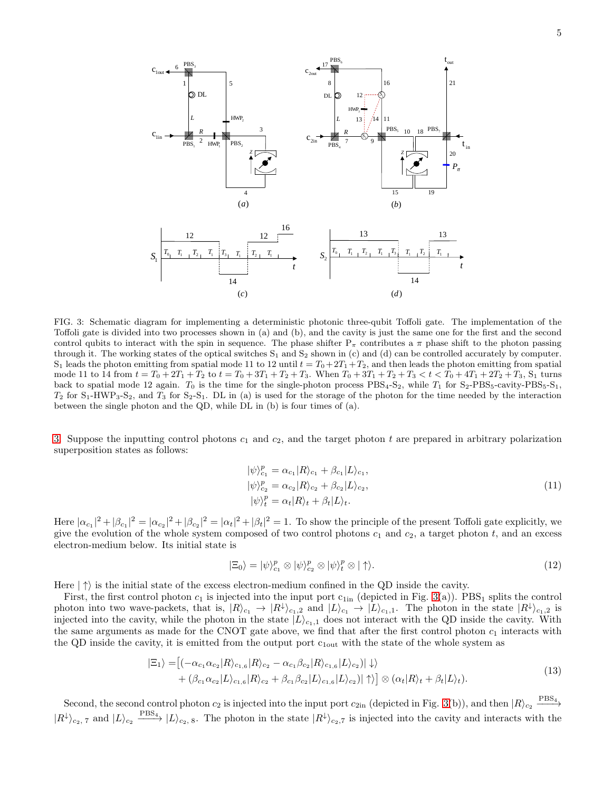

<span id="page-4-0"></span>FIG. 3: Schematic diagram for implementing a deterministic photonic three-qubit Toffoli gate. The implementation of the Toffoli gate is divided into two processes shown in (a) and (b), and the cavity is just the same one for the first and the second control qubits to interact with the spin in sequence. The phase shifter  $P_{\pi}$  contributes a  $\pi$  phase shift to the photon passing through it. The working states of the optical switches  $S_1$  and  $S_2$  shown in (c) and (d) can be controlled accurately by computer.  $S_1$  leads the photon emitting from spatial mode 11 to 12 until  $t = T_0 + 2T_1 + T_2$ , and then leads the photon emitting from spatial mode 11 to 14 from  $t = T_0 + 2T_1 + T_2$  to  $t = T_0 + 3T_1 + T_2 + T_3$ . When  $T_0 + 3T_1 + T_2 + T_3 < t < T_0 + 4T_1 + 2T_2 + T_3$ , S<sub>1</sub> turns back to spatial mode 12 again.  $T_0$  is the time for the single-photon process PBS<sub>4</sub>-S<sub>2</sub>, while  $T_1$  for S<sub>2</sub>-PBS<sub>5</sub>-cavity-PBS<sub>5</sub>-S<sub>1</sub>,  $T_2$  for  $S_1$ -HWP<sub>3</sub>-S<sub>2</sub>, and  $T_3$  for  $S_2$ -S<sub>1</sub>. DL in (a) is used for the storage of the photon for the time needed by the interaction between the single photon and the QD, while DL in (b) is four times of (a).

[3.](#page-4-0) Suppose the inputting control photons  $c_1$  and  $c_2$ , and the target photon t are prepared in arbitrary polarization superposition states as follows:

$$
\begin{aligned} |\psi\rangle_{c_1}^p &= \alpha_{c_1} |R\rangle_{c_1} + \beta_{c_1} |L\rangle_{c_1}, \\ |\psi\rangle_{c_2}^p &= \alpha_{c_2} |R\rangle_{c_2} + \beta_{c_2} |L\rangle_{c_2}, \\ |\psi\rangle_t^p &= \alpha_t |R\rangle_t + \beta_t |L\rangle_t. \end{aligned} \tag{11}
$$

Here  $|\alpha_{c_1}|^2 + |\beta_{c_1}|^2 = |\alpha_{c_2}|^2 + |\beta_{c_2}|^2 = |\alpha_t|^2 + |\beta_t|^2 = 1$ . To show the principle of the present Toffoli gate explicitly, we give the evolution of the whole system composed of two control photons  $c_1$  and  $c_2$ , a target photon t, and an excess electron-medium below. Its initial state is

$$
|\Xi_0\rangle = |\psi\rangle_{c_1}^p \otimes |\psi\rangle_{c_2}^p \otimes |\psi\rangle_t^p \otimes |\uparrow\rangle. \tag{12}
$$

Here  $|\uparrow\rangle$  is the initial state of the excess electron-medium confined in the QD inside the cavity.

First, the first control photon  $c_1$  is injected into the input port  $c_{1in}$  (depicted in Fig. [3\(](#page-4-0)a)). PBS<sub>1</sub> splits the control photon into two wave-packets, that is,  $|R\rangle_{c_1} \rightarrow |R^{\downarrow}\rangle_{c_1,2}$  and  $|L\rangle_{c_1} \rightarrow |L\rangle_{c_1,1}$ . The photon in the state  $|R^{\downarrow}\rangle_{c_1,2}$  is injected into the cavity, while the photon in the state  $|L\rangle_{c_1,1}$  does not interact with the QD inside the cavity. With the same arguments as made for the CNOT gate above, we find that after the first control photon  $c_1$  interacts with the QD inside the cavity, it is emitted from the output port  $c_{1out}$  with the state of the whole system as

$$
|\Xi_1\rangle = \left[ (-\alpha_{c_1}\alpha_{c_2}|R\rangle_{c_{1,6}}|R\rangle_{c_2} - \alpha_{c_1}\beta_{c_2}|R\rangle_{c_{1,6}}|L\rangle_{c_2}) | \downarrow \rangle + (\beta_{c_1}\alpha_{c_2}|L\rangle_{c_{1,6}}|R\rangle_{c_2} + \beta_{c_1}\beta_{c_2}|L\rangle_{c_{1,6}}|L\rangle_{c_2}) | \uparrow \rangle \right] \otimes (\alpha_t|R\rangle_t + \beta_t|L\rangle_t).
$$
\n(13)

Second, the second control photon  $c_2$  is injected into the input port  $c_{2in}$  (depicted in Fig. [3\(](#page-4-0)b)), and then  $|R\rangle_{c_2} \xrightarrow{\text{PBS}_4}$  $|R^{\downarrow}\rangle_{c_2}$ , 7 and  $|L\rangle_{c_2}$   $\frac{\text{PBS}_4}{\text{B}}$   $|L\rangle_{c_2}$ , 8. The photon in the state  $|R^{\downarrow}\rangle_{c_2}$ , is injected into the cavity and interacts with the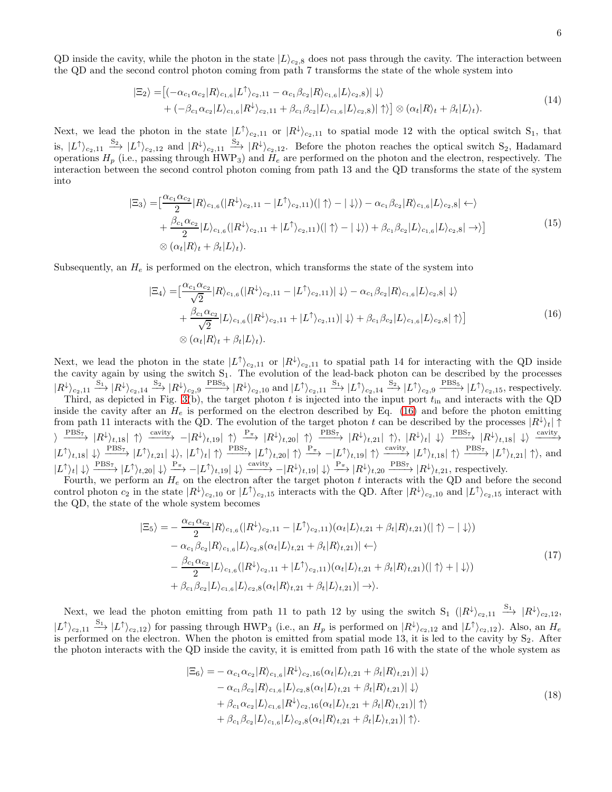6

QD inside the cavity, while the photon in the state  $|L\rangle_{c_2,8}$  does not pass through the cavity. The interaction between the QD and the second control photon coming from path 7 transforms the state of the whole system into

$$
|\Xi_2\rangle = [(-\alpha_{c_1}\alpha_{c_2}|R\rangle_{c_{1,6}}|L^{\uparrow}\rangle_{c_2,11} - \alpha_{c_1}\beta_{c_2}|R\rangle_{c_{1,6}}|L\rangle_{c_2,8})| \downarrow\rangle + (-\beta_{c_1}\alpha_{c_2}|L\rangle_{c_{1,6}}|R^{\downarrow}\rangle_{c_2,11} + \beta_{c_1}\beta_{c_2}|L\rangle_{c_{1,6}}|L\rangle_{c_2,8})| \uparrow\rangle] \otimes (\alpha_t|R\rangle_t + \beta_t|L\rangle_t).
$$
\n(14)

Next, we lead the photon in the state  $|L^{\uparrow}\rangle_{c_2,11}$  or  $|R^{\downarrow}\rangle_{c_2,11}$  to spatial mode 12 with the optical switch  $S_1$ , that is,  $|L^{\uparrow}\rangle_{c_2,11} \xrightarrow{S_2} |L^{\uparrow}\rangle_{c_2,12}$  and  $|R^{\downarrow}\rangle_{c_2,11} \xrightarrow{S_2} |R^{\downarrow}\rangle_{c_2,12}$ . Before the photon reaches the optical switch  $S_2$ , Hadamard operations  $H_p$  (i.e., passing through HWP<sub>3</sub>) and  $H_e$  are performed on the photon and the electron, respectively. The interaction between the second control photon coming from path 13 and the QD transforms the state of the system into

$$
|\Xi_{3}\rangle = \left[\frac{\alpha_{c_{1}}\alpha_{c_{2}}}{2}|R\rangle_{c_{1,6}}(|R^{\downarrow}\rangle_{c_{2},11} - |L^{\uparrow}\rangle_{c_{2},11})(|\uparrow\rangle - |\downarrow\rangle) - \alpha_{c_{1}}\beta_{c_{2}}|R\rangle_{c_{1,6}}|L\rangle_{c_{2},8}| \leftrightarrow + \frac{\beta_{c_{1}}\alpha_{c_{2}}}{2}|L\rangle_{c_{1,6}}(|R^{\downarrow}\rangle_{c_{2},11} + |L^{\uparrow}\rangle_{c_{2},11})(|\uparrow\rangle - |\downarrow\rangle) + \beta_{c_{1}}\beta_{c_{2}}|L\rangle_{c_{1,6}}|L\rangle_{c_{2},8}| \rightarrow\rangle\right]
$$
(15)  

$$
\otimes (\alpha_{t}|R\rangle_{t} + \beta_{t}|L\rangle_{t}).
$$

<span id="page-5-0"></span>Subsequently, an  $H_e$  is performed on the electron, which transforms the state of the system into

$$
|\Xi_4\rangle = \left[\frac{\alpha_{c_1}\alpha_{c_2}}{\sqrt{2}}|R\rangle_{c_{1,6}}(|R^{\downarrow}\rangle_{c_2,11} - |L^{\uparrow}\rangle_{c_2,11})|\downarrow\rangle - \alpha_{c_1}\beta_{c_2}|R\rangle_{c_{1,6}}|L\rangle_{c_2,8}|\downarrow\rangle + \frac{\beta_{c_1}\alpha_{c_2}}{\sqrt{2}}|L\rangle_{c_{1,6}}(|R^{\downarrow}\rangle_{c_2,11} + |L^{\uparrow}\rangle_{c_2,11})|\downarrow\rangle + \beta_{c_1}\beta_{c_2}|L\rangle_{c_{1,6}}|L\rangle_{c_2,8}|\uparrow\rangle\right] \otimes (\alpha_t|R\rangle_t + \beta_t|L\rangle_t).
$$
\n(16)

Next, we lead the photon in the state  $|L^{\uparrow}\rangle_{c_2,11}$  or  $|R^{\downarrow}\rangle_{c_2,11}$  to spatial path 14 for interacting with the QD inside the cavity again by using the switch  $S_1$ . The evolution of the lead-back photon can be described by the processes  $|R^{\downarrow}\rangle_{c_2,11} \xrightarrow{S_1} |R^{\downarrow}\rangle_{c_2,14} \xrightarrow{S_2} |R^{\downarrow}\rangle_{c_2,9} \xrightarrow{PBS_5} |R^{\downarrow}\rangle_{c_2,10}$  and  $|L^{\uparrow}\rangle_{c_2,11} \xrightarrow{S_1} |L^{\uparrow}\rangle_{c_2,14} \xrightarrow{S_2} |L^{\uparrow}\rangle_{c_2,9} \xrightarrow{PBS_5} |L^{\uparrow}\rangle_{c_2,15}$ , respectively.

Third, as depicted in Fig. [3\(](#page-4-0)b), the target photon t is injected into the input port  $t_{\rm in}$  and interacts with the QD inside the cavity after an  $H_e$  is performed on the electron described by Eq. [\(16\)](#page-5-0) and before the photon emitting from path 11 interacts with the QD. The evolution of the target photon t can be described by the processes  $|R^{\downarrow}\rangle_t$   $\uparrow$  $\rangle \xrightarrow{\text{PBS}_7} |R^{\downarrow}\rangle_{t,18} | \uparrow \rangle \xrightarrow{\text{cavity}} - |R^{\downarrow}\rangle_{t,19} | \uparrow \rangle \xrightarrow{\text{P}_{\pi}} |R^{\downarrow}\rangle_{t,20} | \uparrow \rangle \xrightarrow{\text{PBS}_7} |R^{\downarrow}\rangle_{t,21} | \uparrow \rangle, |R^{\downarrow}\rangle_{t,1} | \downarrow \rangle \xrightarrow{\text{PBS}_7} |R^{\downarrow}\rangle_{t,18} | \downarrow \rangle \xrightarrow{\text{cavity}}$  $|L^{\uparrow}\rangle_{t,18}|\downarrow\rangle \xrightarrow{\text{PBS}_{7}} |L^{\uparrow}\rangle_{t,21}|\downarrow\rangle, |L^{\uparrow}\rangle_{t}|\uparrow\rangle \xrightarrow{\text{PBS}_{7}} |L^{\uparrow}\rangle_{t,20}|\uparrow\rangle \xrightarrow{\text{PBS}_{7}} |L^{\uparrow}\rangle_{t,19}|\uparrow\rangle \xrightarrow{\text{cavity}} |L^{\uparrow}\rangle_{t,18}|\uparrow\rangle \xrightarrow{\text{PBS}_{7}} |L^{\uparrow}\rangle_{t,21}|\uparrow\rangle,$  and  $|L^{\uparrow}\rangle_t |\downarrow\rangle \xrightarrow{\text{PBS}_{7}} |L^{\uparrow}\rangle_{t,20} |\downarrow\rangle \xrightarrow{\text{P}_{\pi}} -|L^{\uparrow}\rangle_{t,19} |\downarrow\rangle \xrightarrow{\text{cavity}} -|R^{\downarrow}\rangle_{t,19} |\downarrow\rangle \xrightarrow{\text{P}_{\pi}} |R^{\downarrow}\rangle_{t,20} \xrightarrow{\text{PBS}_{7}} |R^{\downarrow}\rangle_{t,21}$ , respectively.

Fourth, we perform an  $H_e$  on the electron after the target photon t interacts with the QD and before the second control photon  $c_2$  in the state  $|R^{\downarrow}\rangle_{c_2,10}$  or  $|L^{\uparrow}\rangle_{c_2,15}$  interacts with the QD. After  $|R^{\downarrow}\rangle_{c_2,10}$  and  $|L^{\uparrow}\rangle_{c_2,15}$  interact with the QD, the state of the whole system becomes

$$
|\Xi_{5}\rangle = -\frac{\alpha_{c_{1}}\alpha_{c_{2}}}{2}|R\rangle_{c_{1,6}}(|R^{\downarrow}\rangle_{c_{2},11} - |L^{\uparrow}\rangle_{c_{2},11})(\alpha_{t}|L\rangle_{t,21} + \beta_{t}|R\rangle_{t,21})(|\uparrow\rangle - |\downarrow\rangle) - \alpha_{c_{1}}\beta_{c_{2}}|R\rangle_{c_{1,6}}|L\rangle_{c_{2,8}}(\alpha_{t}|L\rangle_{t,21} + \beta_{t}|R\rangle_{t,21})| \leftrightarrow -\frac{\beta_{c_{1}}\alpha_{c_{2}}}{2}|L\rangle_{c_{1,6}}(|R^{\downarrow}\rangle_{c_{2},11} + |L^{\uparrow}\rangle_{c_{2},11})(\alpha_{t}|L\rangle_{t,21} + \beta_{t}|R\rangle_{t,21})(|\uparrow\rangle + |\downarrow\rangle) +\beta_{c_{1}}\beta_{c_{2}}|L\rangle_{c_{1,6}}|L\rangle_{c_{2,8}}(\alpha_{t}|R\rangle_{t,21} + \beta_{t}|L\rangle_{t,21})| \rightarrow\rangle.
$$
\n(17)

Next, we lead the photon emitting from path 11 to path 12 by using the switch  $S_1$   $(|R^{\downarrow}\rangle_{c_2,11} \xrightarrow{S_1} |R^{\downarrow}\rangle_{c_2,12}$ ,  $|L^{\uparrow}\rangle_{c_2,11} \stackrel{S_1}{\longrightarrow} |L^{\uparrow}\rangle_{c_2,12}$  for passing through HWP<sub>3</sub> (i.e., an  $H_p$  is performed on  $|R^{\downarrow}\rangle_{c_2,12}$  and  $|L^{\uparrow}\rangle_{c_2,12}$ ). Also, an  $H_e$ is performed on the electron. When the photon is emitted from spatial mode 13, it is led to the cavity by  $S_2$ . After the photon interacts with the QD inside the cavity, it is emitted from path 16 with the state of the whole system as

$$
|\Xi_{6}\rangle = -\alpha_{c_{1}}\alpha_{c_{2}}|R\rangle_{c_{1,6}}|R^{\downarrow}\rangle_{c_{2},16}(\alpha_{t}|L\rangle_{t,21} + \beta_{t}|R\rangle_{t,21})|\downarrow\rangle - \alpha_{c_{1}}\beta_{c_{2}}|R\rangle_{c_{1,6}}|L\rangle_{c_{2},8}(\alpha_{t}|L\rangle_{t,21} + \beta_{t}|R\rangle_{t,21})|\downarrow\rangle + \beta_{c_{1}}\alpha_{c_{2}}|L\rangle_{c_{1,6}}|R^{\downarrow}\rangle_{c_{2},16}(\alpha_{t}|L\rangle_{t,21} + \beta_{t}|R\rangle_{t,21})|\uparrow\rangle + \beta_{c_{1}}\beta_{c_{2}}|L\rangle_{c_{1,6}}|L\rangle_{c_{2},8}(\alpha_{t}|R\rangle_{t,21} + \beta_{t}|L\rangle_{t,21})|\uparrow\rangle.
$$
\n(18)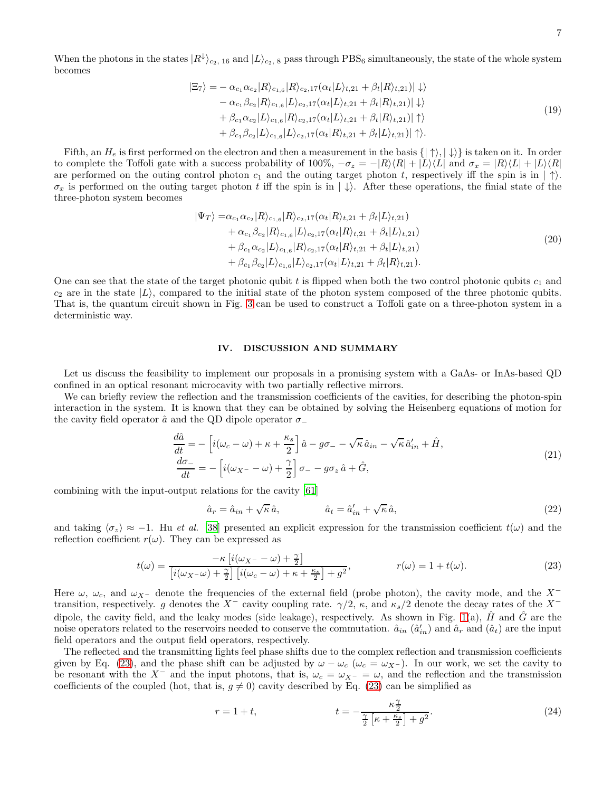When the photons in the states  $|R^{\downarrow}\rangle_{c_2, 16}$  and  $|L\rangle_{c_2, 8}$  pass through PBS<sub>6</sub> simultaneously, the state of the whole system becomes

$$
|\Xi_7\rangle = -\alpha_{c_1}\alpha_{c_2}|R\rangle_{c_{1,6}}|R\rangle_{c_2,17}(\alpha_t|L\rangle_{t,21} + \beta_t|R\rangle_{t,21})| \downarrow\rangle - \alpha_{c_1}\beta_{c_2}|R\rangle_{c_{1,6}}|L\rangle_{c_2,17}(\alpha_t|L\rangle_{t,21} + \beta_t|R\rangle_{t,21})| \downarrow\rangle + \beta_{c_1}\alpha_{c_2}|L\rangle_{c_{1,6}}|R\rangle_{c_2,17}(\alpha_t|L\rangle_{t,21} + \beta_t|R\rangle_{t,21})| \uparrow\rangle + \beta_{c_1}\beta_{c_2}|L\rangle_{c_{1,6}}|L\rangle_{c_2,17}(\alpha_t|R\rangle_{t,21} + \beta_t|L\rangle_{t,21})| \uparrow\rangle.
$$
\n(19)

Fifth, an  $H_e$  is first performed on the electron and then a measurement in the basis  $\{|\uparrow\rangle, |\downarrow\rangle\}$  is taken on it. In order to complete the Toffoli gate with a success probability of 100%,  $-\sigma_z = -|R\rangle\langle R| + |L\rangle\langle L|$  and  $\sigma_x = |R\rangle\langle L| + |L\rangle\langle R|$ are performed on the outing control photon  $c_1$  and the outing target photon t, respectively iff the spin is in  $|\uparrow\rangle$ .  $\sigma_x$  is performed on the outing target photon t iff the spin is in  $|\downarrow\rangle$ . After these operations, the finial state of the three-photon system becomes

$$
|\Psi_T\rangle = \alpha_{c_1}\alpha_{c_2}|R\rangle_{c_{1,6}}|R\rangle_{c_2,17}(\alpha_t|R\rangle_{t,21} + \beta_t|L\rangle_{t,21}) + \alpha_{c_1}\beta_{c_2}|R\rangle_{c_{1,6}}|L\rangle_{c_2,17}(\alpha_t|R\rangle_{t,21} + \beta_t|L\rangle_{t,21}) + \beta_{c_1}\alpha_{c_2}|L\rangle_{c_{1,6}}|R\rangle_{c_2,17}(\alpha_t|R\rangle_{t,21} + \beta_t|L\rangle_{t,21}) + \beta_{c_1}\beta_{c_2}|L\rangle_{c_{1,6}}|L\rangle_{c_2,17}(\alpha_t|L\rangle_{t,21} + \beta_t|R\rangle_{t,21}).
$$
\n(20)

One can see that the state of the target photonic qubit t is flipped when both the two control photonic qubits  $c_1$  and  $c_2$  are in the state  $|L\rangle$ , compared to the initial state of the photon system composed of the three photonic qubits. That is, the quantum circuit shown in Fig. [3](#page-4-0) can be used to construct a Toffoli gate on a three-photon system in a deterministic way.

#### IV. DISCUSSION AND SUMMARY

Let us discuss the feasibility to implement our proposals in a promising system with a GaAs- or InAs-based QD confined in an optical resonant microcavity with two partially reflective mirrors.

We can briefly review the reflection and the transmission coefficients of the cavities, for describing the photon-spin interaction in the system. It is known that they can be obtained by solving the Heisenberg equations of motion for the cavity field operator  $\hat{a}$  and the QD dipole operator  $\sigma_{-}$ 

$$
\frac{d\hat{a}}{dt} = -\left[i(\omega_c - \omega) + \kappa + \frac{\kappa_s}{2}\right]\hat{a} - g\sigma_- - \sqrt{\kappa}\,\hat{a}_{in} - \sqrt{\kappa}\,\hat{a}'_{in} + \hat{H},\n\frac{d\sigma_-}{dt} = -\left[i(\omega_{X^-} - \omega) + \frac{\gamma}{2}\right]\sigma_- - g\sigma_z\,\hat{a} + \hat{G},
$$
\n(21)

combining with the input-output relations for the cavity [\[61\]](#page-11-12)

$$
\hat{a}_r = \hat{a}_{in} + \sqrt{\kappa} \,\hat{a}, \qquad \qquad \hat{a}_t = \hat{a}'_{in} + \sqrt{\kappa} \,\hat{a}, \qquad (22)
$$

and taking  $\langle \sigma_z \rangle \approx -1$ . Hu et al. [\[38\]](#page-10-14) presented an explicit expression for the transmission coefficient  $t(\omega)$  and the reflection coefficient  $r(\omega)$ . They can be expressed as

<span id="page-6-0"></span>
$$
t(\omega) = \frac{-\kappa \left[ i(\omega_X - \omega) + \frac{\gamma}{2} \right]}{\left[ i(\omega_X - \omega) + \frac{\gamma}{2} \right] \left[ i(\omega_c - \omega) + \kappa + \frac{\kappa_s}{2} \right] + g^2}, \qquad r(\omega) = 1 + t(\omega). \tag{23}
$$

Here  $\omega$ ,  $\omega_c$ , and  $\omega_{X^-}$  denote the frequencies of the external field (probe photon), the cavity mode, and the X<sup>-</sup> transition, respectively. g denotes the X<sup>−</sup> cavity coupling rate.  $\gamma/2$ ,  $\kappa$ , and  $\kappa_s/2$  denote the decay rates of the X<sup>−</sup> dipole, the cavity field, and the leaky modes (side leakage), respectively. As shown in Fig. [1\(](#page-2-0)a),  $\hat{H}$  and  $\hat{G}$  are the noise operators related to the reservoirs needed to conserve the commutation.  $\hat{a}_{in}$   $(\hat{a}'_{in})$  and  $(\hat{a}_t)$  are the input field operators and the output field operators, respectively.

The reflected and the transmitting lights feel phase shifts due to the complex reflection and transmission coefficients given by Eq. [\(23\)](#page-6-0), and the phase shift can be adjusted by  $\omega - \omega_c$  ( $\omega_c = \omega_{X-}$ ). In our work, we set the cavity to be resonant with the X<sup>−</sup> and the input photons, that is,  $\omega_c = \omega_{X^-} = \omega$ , and the reflection and the transmission coefficients of the coupled (hot, that is,  $g \neq 0$ ) cavity described by Eq. [\(23\)](#page-6-0) can be simplified as

$$
r = 1 + t, \qquad t = -\frac{\kappa \frac{\gamma}{2}}{\frac{\gamma}{2} \left[ \kappa + \frac{\kappa_s}{2} \right] + g^2}.
$$
\n
$$
(24)
$$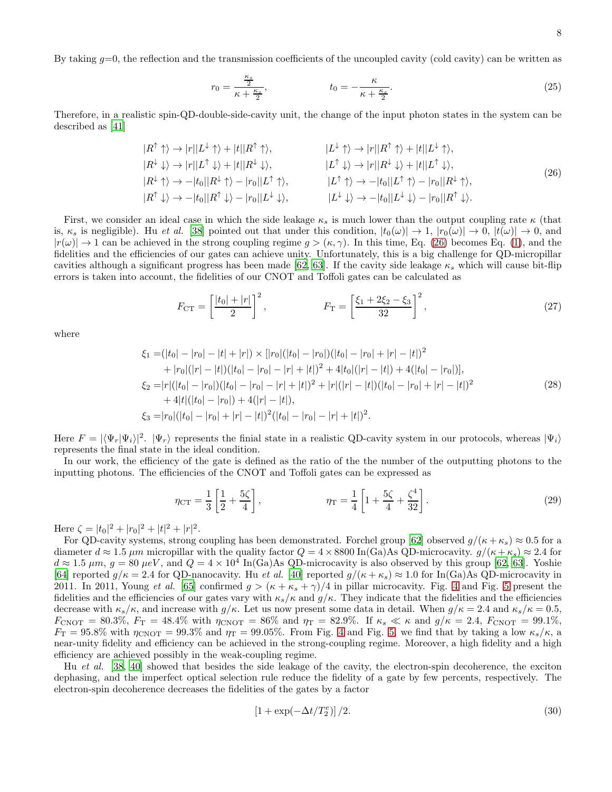By taking  $g=0$ , the reflection and the transmission coefficients of the uncoupled cavity (cold cavity) can be written as

$$
r_0 = \frac{\frac{\kappa_s}{2}}{\kappa + \frac{\kappa_s}{2}}, \qquad t_0 = -\frac{\kappa}{\kappa + \frac{\kappa_s}{2}}.
$$
\n
$$
(25)
$$

Therefore, in a realistic spin-QD-double-side-cavity unit, the change of the input photon states in the system can be described as [\[41\]](#page-10-15)

$$
|R^{\uparrow} \uparrow\rangle \rightarrow |r||L^{\downarrow} \uparrow\rangle + |t||R^{\uparrow} \uparrow\rangle, \qquad |L^{\downarrow} \uparrow\rangle \rightarrow |r||R^{\uparrow} \uparrow\rangle + |t||L^{\downarrow} \uparrow\rangle, |R^{\downarrow} \downarrow\rangle \rightarrow |r||L^{\uparrow} \downarrow\rangle + |t||R^{\downarrow} \downarrow\rangle, \qquad |L^{\uparrow} \downarrow\rangle \rightarrow |r||R^{\downarrow} \downarrow\rangle + |t||L^{\uparrow} \downarrow\rangle, |R^{\downarrow} \uparrow\rangle \rightarrow -|t_0||R^{\downarrow} \uparrow\rangle - |r_0||L^{\uparrow} \uparrow\rangle, \qquad |L^{\uparrow} \uparrow\rangle \rightarrow -|t_0||L^{\uparrow} \uparrow\rangle - |r_0||R^{\downarrow} \uparrow\rangle, |R^{\uparrow} \downarrow\rangle \rightarrow -|t_0||R^{\uparrow} \downarrow\rangle - |r_0||L^{\downarrow} \downarrow\rangle, \qquad |L^{\downarrow} \downarrow\rangle \rightarrow -|t_0||L^{\downarrow} \downarrow\rangle - |r_0||R^{\uparrow} \downarrow\rangle. \qquad (26)
$$

<span id="page-7-0"></span>First, we consider an ideal case in which the side leakage  $\kappa_s$  is much lower than the output coupling rate  $\kappa$  (that is,  $\kappa_s$  is negligible). Hu et al. [\[38](#page-10-14)] pointed out that under this condition,  $|t_0(\omega)| \to 1$ ,  $|r_0(\omega)| \to 0$ ,  $|t(\omega)| \to 0$ , and  $|r(\omega)| \to 1$  can be achieved in the strong coupling regime  $g > (\kappa, \gamma)$ . In this time, Eq. [\(26\)](#page-7-0) becomes Eq. [\(1\)](#page-1-0), and the fidelities and the efficiencies of our gates can achieve unity. Unfortunately, this is a big challenge for QD-micropillar cavities although a significant progress has been made [\[62](#page-11-13), [63](#page-11-14)]. If the cavity side leakage  $\kappa_s$  which will cause bit-flip errors is taken into account, the fidelities of our CNOT and Toffoli gates can be calculated as

$$
F_{\rm CT} = \left[\frac{|t_0| + |r|}{2}\right]^2, \qquad F_{\rm T} = \left[\frac{\xi_1 + 2\xi_2 - \xi_3}{32}\right]^2, \tag{27}
$$

where

$$
\xi_1 = (|t_0| - |r_0| - |t| + |r|) \times [|r_0|(|t_0| - |r_0|)(|t_0| - |r_0| + |r| - |t|)^2 \n+ |r_0|(|r| - |t|)(|t_0| - |r_0| - |r| + |t|)^2 + 4|t_0|(|r| - |t|) + 4(|t_0| - |r_0|)],
$$
\n
$$
\xi_2 = |r|(|t_0| - |r_0|)(|t_0| - |r_0| - |r| + |t|)^2 + |r|(|r| - |t|)(|t_0| - |r_0| + |r| - |t|)^2 \n+ 4|t|(|t_0| - |r_0|) + 4(|r| - |t|),
$$
\n
$$
\xi_3 = |r_0|(|t_0| - |r_0| + |r| - |t|)^2(|t_0| - |r_0| - |r| + |t|)^2.
$$
\n(28)

Here  $F = |\langle \Psi_r | \Psi_i \rangle|^2$ .  $|\Psi_r\rangle$  represents the finial state in a realistic QD-cavity system in our protocols, whereas  $|\Psi_i\rangle$ represents the final state in the ideal condition.

In our work, the efficiency of the gate is defined as the ratio of the the number of the outputting photons to the inputting photons. The efficiencies of the CNOT and Toffoli gates can be expressed as

$$
\eta_{\rm CT} = \frac{1}{3} \left[ \frac{1}{2} + \frac{5\zeta}{4} \right], \qquad \eta_{\rm T} = \frac{1}{4} \left[ 1 + \frac{5\zeta}{4} + \frac{\zeta^4}{32} \right]. \tag{29}
$$

Here  $\zeta = |t_0|^2 + |r_0|^2 + |t|^2 + |r|^2$ .

For QD-cavity systems, strong coupling has been demonstrated. Forchel group [\[62\]](#page-11-13) observed  $q/(\kappa + \kappa_s) \approx 0.5$  for a diameter  $d \approx 1.5 \ \mu m$  micropillar with the quality factor  $Q = 4 \times 8800 \ln(Ga)$ As QD-microcavity.  $g/(\kappa + \kappa_s) \approx 2.4$  for  $d \approx 1.5 \ \mu m, g = 80 \ \mu eV$ , and  $Q = 4 \times 10^4$  In(Ga)As QD-microcavity is also observed by this group [\[62](#page-11-13), [63](#page-11-14)]. Yoshie [\[64\]](#page-11-15) reported  $g/\kappa = 2.4$  for QD-nanocavity. Hu *et al.* [\[40\]](#page-10-17) reported  $g/(\kappa + \kappa_s) \approx 1.0$  for In(Ga)As QD-microcavity in 2011. In 2011, Young et al. [\[65\]](#page-11-16) confirmed  $g > (\kappa + \kappa_s + \gamma)/4$  in pillar microcavity. Fig. [4](#page-8-0) and Fig. [5](#page-8-1) present the fidelities and the efficiencies of our gates vary with  $\kappa_s/\kappa$  and  $g/\kappa$ . They indicate that the fidelities and the efficiencies decrease with  $\kappa_s/\kappa$ , and increase with  $g/\kappa$ . Let us now present some data in detail. When  $g/\kappa = 2.4$  and  $\kappa_s/\kappa = 0.5$ ,  $F_{\text{CNOT}} = 80.3\%, F_{\text{T}} = 48.4\%$  with  $\eta_{\text{CNOT}} = 86\%$  and  $\eta_{\text{T}} = 82.9\%$ . If  $\kappa_s \ll \kappa$  and  $g/\kappa = 2.4, F_{\text{CNOT}} = 99.1\%$ ,  $F_T = 95.8\%$  with  $\eta_{\text{CNOT}} = 99.3\%$  and  $\eta_T = 99.05\%$ . From Fig. [4](#page-8-0) and Fig. [5,](#page-8-1) we find that by taking a low  $\kappa_s/\kappa$ , a near-unity fidelity and efficiency can be achieved in the strong-coupling regime. Moreover, a high fidelity and a high efficiency are achieved possibly in the weak-coupling regime.

Hu et al. [\[38,](#page-10-14) [40\]](#page-10-17) showed that besides the side leakage of the cavity, the electron-spin decoherence, the exciton dephasing, and the imperfect optical selection rule reduce the fidelity of a gate by few percents, respectively. The electron-spin decoherence decreases the fidelities of the gates by a factor

$$
\left[1 + \exp(-\Delta t/T_2^e)\right]/2. \tag{30}
$$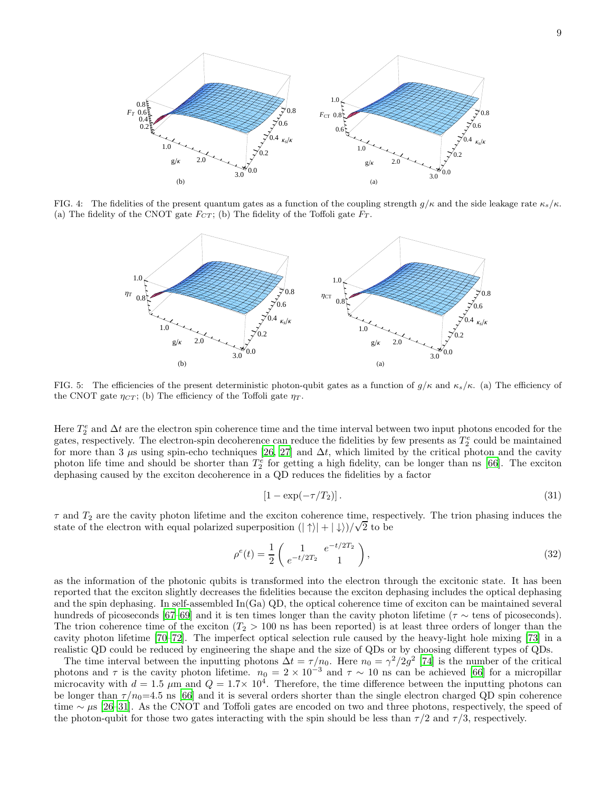

FIG. 4: The fidelities of the present quantum gates as a function of the coupling strength  $g/\kappa$  and the side leakage rate  $\kappa_s/\kappa$ . (a) The fidelity of the CNOT gate  $F_{CT}$ ; (b) The fidelity of the Toffoli gate  $F_T$ .

<span id="page-8-0"></span>

<span id="page-8-1"></span>FIG. 5: The efficiencies of the present deterministic photon-qubit gates as a function of  $g/\kappa$  and  $\kappa_s/\kappa$ . (a) The efficiency of the CNOT gate  $\eta_{CT}$ ; (b) The efficiency of the Toffoli gate  $\eta_T$ .

Here  $T_2^e$  and  $\Delta t$  are the electron spin coherence time and the time interval between two input photons encoded for the gates, respectively. The electron-spin decoherence can reduce the fidelities by few presents as  $T_2^e$  could be maintained for more than 3  $\mu$ s using spin-echo techniques [\[26,](#page-10-6) [27](#page-10-10)] and  $\Delta t$ , which limited by the critical photon and the cavity photon life time and should be shorter than  $T_2^e$  for getting a high fidelity, can be longer than ns [\[66](#page-11-17)]. The exciton dephasing caused by the exciton decoherence in a QD reduces the fidelities by a factor

$$
\left[1 - \exp(-\tau/T_2)\right].\tag{31}
$$

 $\tau$  and  $T_2$  are the cavity photon lifetime and the exciton coherence time, respectively. The trion phasing induces the state of the electron with equal polarized superposition  $(| \uparrow \rangle | + | \downarrow \rangle)/\sqrt{2}$  to be

$$
\rho^{e}(t) = \frac{1}{2} \begin{pmatrix} 1 & e^{-t/2T_2} \\ e^{-t/2T_2} & 1 \end{pmatrix},\tag{32}
$$

as the information of the photonic qubits is transformed into the electron through the excitonic state. It has been reported that the exciton slightly decreases the fidelities because the exciton dephasing includes the optical dephasing and the spin dephasing. In self-assembled In(Ga) QD, the optical coherence time of exciton can be maintained several hundreds of picoseconds [\[67](#page-11-18)[–69\]](#page-11-19) and it is ten times longer than the cavity photon lifetime ( $\tau \sim$  tens of picoseconds). The trion coherence time of the exciton  $(T_2 > 100 \text{ ns}$  has been reported) is at least three orders of longer than the cavity photon lifetime [\[70](#page-11-20)[–72](#page-11-21)]. The imperfect optical selection rule caused by the heavy-light hole mixing [\[73](#page-11-22)] in a realistic QD could be reduced by engineering the shape and the size of QDs or by choosing different types of QDs.

The time interval between the inputting photons  $\Delta t = \tau/n_0$ . Here  $n_0 = \gamma^2/2g^2$  [\[74](#page-11-23)] is the number of the critical photons and  $\tau$  is the cavity photon lifetime.  $n_0 = 2 \times 10^{-3}$  and  $\tau \sim 10$  ns can be achieved [\[66](#page-11-17)] for a micropillar microcavity with  $d = 1.5 \mu \text{m}$  and  $Q = 1.7 \times 10^4$ . Therefore, the time difference between the inputting photons can be longer than  $\tau/n_0=4.5$  ns [\[66](#page-11-17)] and it is several orders shorter than the single electron charged QD spin coherence time ∼  $\mu$ s [\[26](#page-10-6)[–31\]](#page-10-7). As the CNOT and Toffoli gates are encoded on two and three photons, respectively, the speed of the photon-qubit for those two gates interacting with the spin should be less than  $\tau/2$  and  $\tau/3$ , respectively.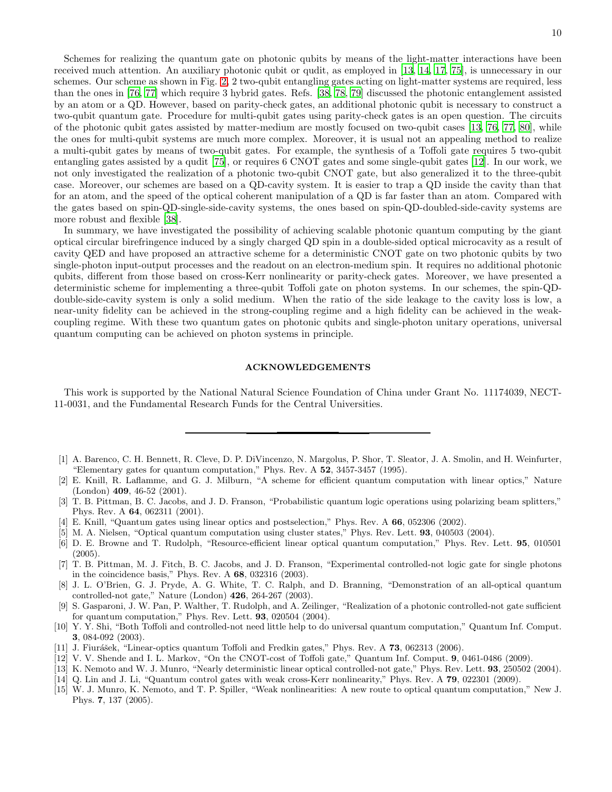Schemes for realizing the quantum gate on photonic qubits by means of the light-matter interactions have been received much attention. An auxiliary photonic qubit or qudit, as employed in [\[13,](#page-9-9) [14,](#page-9-10) [17,](#page-10-1) [75\]](#page-11-24), is unnecessary in our schemes. Our scheme as shown in Fig. [2,](#page-3-0) 2 two-qubit entangling gates acting on light-matter systems are required, less than the ones in [\[76,](#page-11-25) [77\]](#page-12-0) which require 3 hybrid gates. Refs. [\[38,](#page-10-14) [78,](#page-12-1) [79](#page-12-2)] discussed the photonic entanglement assisted by an atom or a QD. However, based on parity-check gates, an additional photonic qubit is necessary to construct a two-qubit quantum gate. Procedure for multi-qubit gates using parity-check gates is an open question. The circuits of the photonic qubit gates assisted by matter-medium are mostly focused on two-qubit cases [\[13](#page-9-9), [76,](#page-11-25) [77,](#page-12-0) [80](#page-12-3)], while the ones for multi-qubit systems are much more complex. Moreover, it is usual not an appealing method to realize a multi-qubit gates by means of two-qubit gates. For example, the synthesis of a Toffoli gate requires 5 two-qubit entangling gates assisted by a qudit [\[75\]](#page-11-24), or requires 6 CNOT gates and some single-qubit gates [\[12](#page-9-8)]. In our work, we not only investigated the realization of a photonic two-qubit CNOT gate, but also generalized it to the three-qubit case. Moreover, our schemes are based on a QD-cavity system. It is easier to trap a QD inside the cavity than that for an atom, and the speed of the optical coherent manipulation of a QD is far faster than an atom. Compared with the gates based on spin-QD-single-side-cavity systems, the ones based on spin-QD-doubled-side-cavity systems are more robust and flexible [\[38](#page-10-14)].

In summary, we have investigated the possibility of achieving scalable photonic quantum computing by the giant optical circular birefringence induced by a singly charged QD spin in a double-sided optical microcavity as a result of cavity QED and have proposed an attractive scheme for a deterministic CNOT gate on two photonic qubits by two single-photon input-output processes and the readout on an electron-medium spin. It requires no additional photonic qubits, different from those based on cross-Kerr nonlinearity or parity-check gates. Moreover, we have presented a deterministic scheme for implementing a three-qubit Toffoli gate on photon systems. In our schemes, the spin-QDdouble-side-cavity system is only a solid medium. When the ratio of the side leakage to the cavity loss is low, a near-unity fidelity can be achieved in the strong-coupling regime and a high fidelity can be achieved in the weakcoupling regime. With these two quantum gates on photonic qubits and single-photon unitary operations, universal quantum computing can be achieved on photon systems in principle.

### ACKNOWLEDGEMENTS

This work is supported by the National Natural Science Foundation of China under Grant No. 11174039, NECT-11-0031, and the Fundamental Research Funds for the Central Universities.

- <span id="page-9-0"></span>[1] A. Barenco, C. H. Bennett, R. Cleve, D. P. DiVincenzo, N. Margolus, P. Shor, T. Sleator, J. A. Smolin, and H. Weinfurter, "Elementary gates for quantum computation," Phys. Rev. A 52, 3457-3457 (1995).
- <span id="page-9-1"></span>[2] E. Knill, R. Laflamme, and G. J. Milburn, "A scheme for efficient quantum computation with linear optics," Nature (London) 409, 46-52 (2001).
- <span id="page-9-2"></span>[3] T. B. Pittman, B. C. Jacobs, and J. D. Franson, "Probabilistic quantum logic operations using polarizing beam splitters," Phys. Rev. A 64, 062311 (2001).
- [4] E. Knill, "Quantum gates using linear optics and postselection," Phys. Rev. A 66, 052306 (2002).
- [5] M. A. Nielsen, "Optical quantum computation using cluster states," Phys. Rev. Lett. 93, 040503 (2004).
- <span id="page-9-3"></span>[6] D. E. Browne and T. Rudolph, "Resource-efficient linear optical quantum computation," Phys. Rev. Lett. 95, 010501 (2005).
- <span id="page-9-4"></span>[7] T. B. Pittman, M. J. Fitch, B. C. Jacobs, and J. D. Franson, "Experimental controlled-not logic gate for single photons in the coincidence basis," Phys. Rev. A 68, 032316 (2003).
- [8] J. L. O'Brien, G. J. Pryde, A. G. White, T. C. Ralph, and D. Branning, "Demonstration of an all-optical quantum controlled-not gate," Nature (London) 426, 264-267 (2003).
- <span id="page-9-5"></span>[9] S. Gasparoni, J. W. Pan, P. Walther, T. Rudolph, and A. Zeilinger, "Realization of a photonic controlled-not gate sufficient for quantum computation," Phys. Rev. Lett. 93, 020504 (2004).
- <span id="page-9-6"></span>[10] Y. Y. Shi, "Both Toffoli and controlled-not need little help to do universal quantum computation," Quantum Inf. Comput. 3, 084-092 (2003).
- <span id="page-9-7"></span>[11] J. Fiurášek, "Linear-optics quantum Toffoli and Fredkin gates," Phys. Rev. A 73, 062313 (2006).
- <span id="page-9-8"></span>[12] V. V. Shende and I. L. Markov, "On the CNOT-cost of Toffoli gate," Quantum Inf. Comput. 9, 0461-0486 (2009).
- <span id="page-9-9"></span>[13] K. Nemoto and W. J. Munro, "Nearly deterministic linear optical controlled-not gate," Phys. Rev. Lett. 93, 250502 (2004).
- <span id="page-9-10"></span>[14] Q. Lin and J. Li, "Quantum control gates with weak cross-Kerr nonlinearity," Phys. Rev. A 79, 022301 (2009).
- <span id="page-9-11"></span>[15] W. J. Munro, K. Nemoto, and T. P. Spiller, "Weak nonlinearities: A new route to optical quantum computation," New J. Phys. 7, 137 (2005).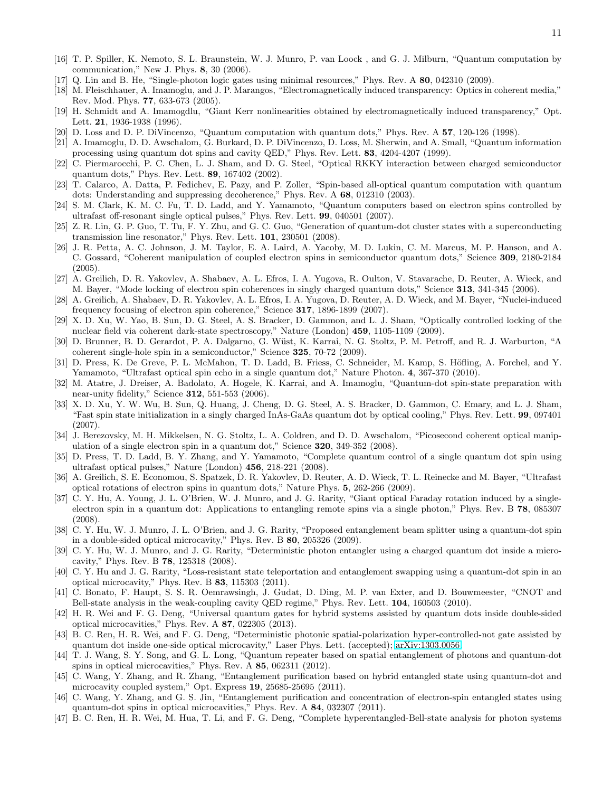- <span id="page-10-0"></span>[16] T. P. Spiller, K. Nemoto, S. L. Braunstein, W. J. Munro, P. van Loock , and G. J. Milburn, "Quantum computation by communication," New J. Phys. 8, 30 (2006).
- <span id="page-10-1"></span>[17] Q. Lin and B. He, "Single-photon logic gates using minimal resources," Phys. Rev. A 80, 042310 (2009).
- <span id="page-10-2"></span>[18] M. Fleischhauer, A. Imamoglu, and J. P. Marangos, "Electromagnetically induced transparency: Optics in coherent media," Rev. Mod. Phys. 77, 633-673 (2005).
- <span id="page-10-3"></span>[19] H. Schmidt and A. Imamogdlu, "Giant Kerr nonlinearities obtained by electromagnetically induced transparency," Opt. Lett. 21, 1936-1938 (1996).
- <span id="page-10-4"></span>[20] D. Loss and D. P. DiVincenzo, "Quantum computation with quantum dots," Phys. Rev. A 57, 120-126 (1998).
- [21] A. Imamoglu, D. D. Awschalom, G. Burkard, D. P. DiVincenzo, D. Loss, M. Sherwin, and A. Small, "Quantum information processing using quantum dot spins and cavity QED," Phys. Rev. Lett. 83, 4204-4207 (1999).
- [22] C. Piermarocchi, P. C. Chen, L. J. Sham, and D. G. Steel, "Optical RKKY interaction between charged semiconductor quantum dots," Phys. Rev. Lett. 89, 167402 (2002).
- [23] T. Calarco, A. Datta, P. Fedichev, E. Pazy, and P. Zoller, "Spin-based all-optical quantum computation with quantum dots: Understanding and suppressing decoherence," Phys. Rev. A 68, 012310 (2003).
- [24] S. M. Clark, K. M. C. Fu, T. D. Ladd, and Y. Yamamoto, "Quantum computers based on electron spins controlled by ultrafast off-resonant single optical pulses," Phys. Rev. Lett. 99, 040501 (2007).
- <span id="page-10-5"></span>[25] Z. R. Lin, G. P. Guo, T. Tu, F. Y. Zhu, and G. C. Guo, "Generation of quantum-dot cluster states with a superconducting transmission line resonator," Phys. Rev. Lett. 101, 230501 (2008).
- <span id="page-10-6"></span>[26] J. R. Petta, A. C. Johnson, J. M. Taylor, E. A. Laird, A. Yacoby, M. D. Lukin, C. M. Marcus, M. P. Hanson, and A. C. Gossard, "Coherent manipulation of coupled electron spins in semiconductor quantum dots," Science 309, 2180-2184 (2005).
- <span id="page-10-10"></span>[27] A. Greilich, D. R. Yakovlev, A. Shabaev, A. L. Efros, I. A. Yugova, R. Oulton, V. Stavarache, D. Reuter, A. Wieck, and M. Bayer, "Mode locking of electron spin coherences in singly charged quantum dots," Science 313, 341-345 (2006).
- [28] A. Greilich, A. Shabaev, D. R. Yakovlev, A. L. Efros, I. A. Yugova, D. Reuter, A. D. Wieck, and M. Bayer, "Nuclei-induced frequency focusing of electron spin coherence," Science 317, 1896-1899 (2007).
- [29] X. D. Xu, W. Yao, B. Sun, D. G. Steel, A. S. Bracker, D. Gammon, and L. J. Sham, "Optically controlled locking of the nuclear field via coherent dark-state spectroscopy," Nature (London) 459, 1105-1109 (2009).
- [30] D. Brunner, B. D. Gerardot, P. A. Dalgarno, G. Wüst, K. Karrai, N. G. Stoltz, P. M. Petroff, and R. J. Warburton, "A coherent single-hole spin in a semiconductor," Science 325, 70-72 (2009).
- <span id="page-10-7"></span>[31] D. Press, K. De Greve, P. L. McMahon, T. D. Ladd, B. Friess, C. Schneider, M. Kamp, S. Höfling, A. Forchel, and Y. Yamamoto, "Ultrafast optical spin echo in a single quantum dot," Nature Photon. 4, 367-370 (2010).
- <span id="page-10-8"></span>[32] M. Atatre, J. Dreiser, A. Badolato, A. Hogele, K. Karrai, and A. Imamoglu, "Quantum-dot spin-state preparation with near-unity fidelity," Science 312, 551-553 (2006).
- <span id="page-10-9"></span>[33] X. D. Xu, Y. W. Wu, B. Sun, Q. Huang, J. Cheng, D. G. Steel, A. S. Bracker, D. Gammon, C. Emary, and L. J. Sham, "Fast spin state initialization in a singly charged InAs-GaAs quantum dot by optical cooling," Phys. Rev. Lett. 99, 097401 (2007).
- <span id="page-10-11"></span>[34] J. Berezovsky, M. H. Mikkelsen, N. G. Stoltz, L. A. Coldren, and D. D. Awschalom, "Picosecond coherent optical manipulation of a single electron spin in a quantum dot," Science 320, 349-352 (2008).
- [35] D. Press, T. D. Ladd, B. Y. Zhang, and Y. Yamamoto, "Complete quantum control of a single quantum dot spin using ultrafast optical pulses," Nature (London) 456, 218-221 (2008).
- <span id="page-10-12"></span>[36] A. Greilich, S. E. Economou, S. Spatzek, D. R. Yakovlev, D. Reuter, A. D. Wieck, T. L. Reinecke and M. Bayer, "Ultrafast optical rotations of electron spins in quantum dots," Nature Phys. 5, 262-266 (2009).
- <span id="page-10-13"></span>[37] C. Y. Hu, A. Young, J. L. O'Brien, W. J. Munro, and J. G. Rarity, "Giant optical Faraday rotation induced by a singleelectron spin in a quantum dot: Applications to entangling remote spins via a single photon," Phys. Rev. B 78, 085307 (2008).
- <span id="page-10-14"></span>[38] C. Y. Hu, W. J. Munro, J. L. O'Brien, and J. G. Rarity, "Proposed entanglement beam splitter using a quantum-dot spin in a double-sided optical microcavity," Phys. Rev. B 80, 205326 (2009).
- [39] C. Y. Hu, W. J. Munro, and J. G. Rarity, "Deterministic photon entangler using a charged quantum dot inside a microcavity," Phys. Rev. B 78, 125318 (2008).
- <span id="page-10-17"></span>[40] C. Y. Hu and J. G. Rarity, "Loss-resistant state teleportation and entanglement swapping using a quantum-dot spin in an optical microcavity," Phys. Rev. B 83, 115303 (2011).
- <span id="page-10-15"></span>[41] C. Bonato, F. Haupt, S. S. R. Oemrawsingh, J. Gudat, D. Ding, M. P. van Exter, and D. Bouwmeester, "CNOT and Bell-state analysis in the weak-coupling cavity QED regime," Phys. Rev. Lett. 104, 160503 (2010).
- <span id="page-10-16"></span>[42] H. R. Wei and F. G. Deng, "Universal quantum gates for hybrid systems assisted by quantum dots inside double-sided optical microcavities," Phys. Rev. A 87, 022305 (2013).
- [43] B. C. Ren, H. R. Wei, and F. G. Deng, "Deterministic photonic spatial-polarization hyper-controlled-not gate assisted by quantum dot inside one-side optical microcavity," Laser Phys. Lett. (accepted); [arXiv:1303.0056.](http://arxiv.org/abs/1303.0056)
- [44] T. J. Wang, S. Y. Song, and G. L. Long, "Quantum repeater based on spatial entanglement of photons and quantum-dot spins in optical microcavities," Phys. Rev. A 85, 062311 (2012).
- [45] C. Wang, Y. Zhang, and R. Zhang, "Entanglement purification based on hybrid entangled state using quantum-dot and microcavity coupled system," Opt. Express  ${\bf 19},$  25685-25695 (2011).
- [46] C. Wang, Y. Zhang, and G. S. Jin, "Entanglement purification and concentration of electron-spin entangled states using quantum-dot spins in optical microcavities," Phys. Rev. A 84, 032307 (2011).
- [47] B. C. Ren, H. R. Wei, M. Hua, T. Li, and F. G. Deng, "Complete hyperentangled-Bell-state analysis for photon systems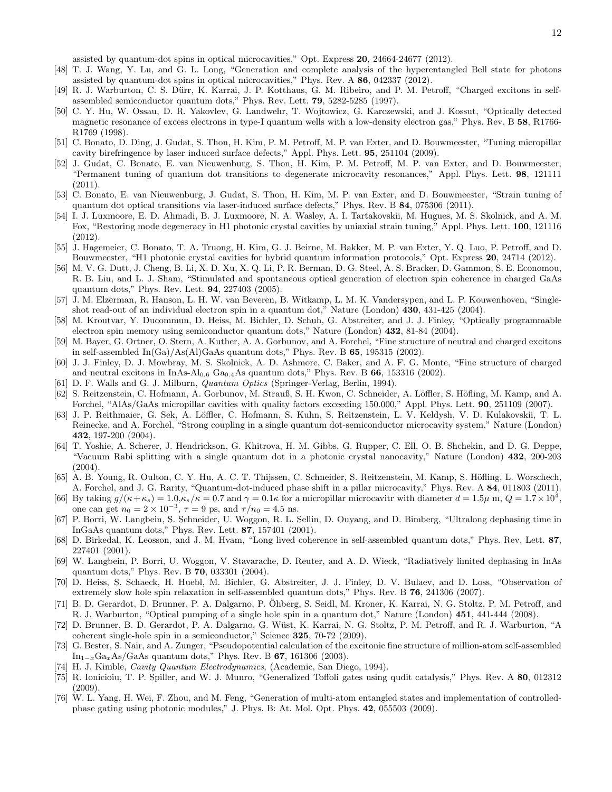assisted by quantum-dot spins in optical microcavities," Opt. Express 20, 24664-24677 (2012).

- <span id="page-11-0"></span>[48] T. J. Wang, Y. Lu, and G. L. Long, "Generation and complete analysis of the hyperentangled Bell state for photons assisted by quantum-dot spins in optical microcavities," Phys. Rev. A 86, 042337 (2012).
- <span id="page-11-1"></span>[49] R. J. Warburton, C. S. Dürr, K. Karrai, J. P. Kotthaus, G. M. Ribeiro, and P. M. Petroff, "Charged excitons in selfassembled semiconductor quantum dots," Phys. Rev. Lett. 79, 5282-5285 (1997).
- <span id="page-11-2"></span>[50] C. Y. Hu, W. Ossau, D. R. Yakovlev, G. Landwehr, T. Wojtowicz, G. Karczewski, and J. Kossut, "Optically detected magnetic resonance of excess electrons in type-I quantum wells with a low-density electron gas," Phys. Rev. B 58, R1766- R1769 (1998).
- <span id="page-11-3"></span>[51] C. Bonato, D. Ding, J. Gudat, S. Thon, H. Kim, P. M. Petroff, M. P. van Exter, and D. Bouwmeester, "Tuning micropillar cavity birefringence by laser induced surface defects," Appl. Phys. Lett. 95, 251104 (2009).
- [52] J. Gudat, C. Bonato, E. van Nieuwenburg, S. Thon, H. Kim, P. M. Petroff, M. P. van Exter, and D. Bouwmeester, "Permanent tuning of quantum dot transitions to degenerate microcavity resonances," Appl. Phys. Lett. 98, 121111 (2011).
- <span id="page-11-4"></span>[53] C. Bonato, E. van Nieuwenburg, J. Gudat, S. Thon, H. Kim, M. P. van Exter, and D. Bouwmeester, "Strain tuning of quantum dot optical transitions via laser-induced surface defects," Phys. Rev. B 84, 075306 (2011).
- <span id="page-11-5"></span>[54] I. J. Luxmoore, E. D. Ahmadi, B. J. Luxmoore, N. A. Wasley, A. I. Tartakovskii, M. Hugues, M. S. Skolnick, and A. M. Fox, "Restoring mode degeneracy in H1 photonic crystal cavities by uniaxial strain tuning," Appl. Phys. Lett. 100, 121116 (2012).
- <span id="page-11-6"></span>[55] J. Hagemeier, C. Bonato, T. A. Truong, H. Kim, G. J. Beirne, M. Bakker, M. P. van Exter, Y. Q. Luo, P. Petroff, and D. Bouwmeester, "H1 photonic crystal cavities for hybrid quantum information protocols," Opt. Express 20, 24714 (2012).
- <span id="page-11-7"></span>[56] M. V. G. Dutt, J. Cheng, B. Li, X. D. Xu, X. Q. Li, P. R. Berman, D. G. Steel, A. S. Bracker, D. Gammon, S. E. Economou, R. B. Liu, and L. J. Sham, "Stimulated and spontaneous optical generation of electron spin coherence in charged GaAs quantum dots," Phys. Rev. Lett. 94, 227403 (2005).
- <span id="page-11-8"></span>[57] J. M. Elzerman, R. Hanson, L. H. W. van Beveren, B. Witkamp, L. M. K. Vandersypen, and L. P. Kouwenhoven, "Singleshot read-out of an individual electron spin in a quantum dot," Nature (London) 430, 431-425 (2004).
- <span id="page-11-9"></span>[58] M. Kroutvar, Y. Ducommun, D. Heiss, M. Bichler, D. Schuh, G. Abstreiter, and J. J. Finley, "Optically programmable electron spin memory using semiconductor quantum dots," Nature (London) 432, 81-84 (2004).
- <span id="page-11-10"></span>[59] M. Bayer, G. Ortner, O. Stern, A. Kuther, A. A. Gorbunov, and A. Forchel, "Fine structure of neutral and charged excitons in self-assembled  $In(Ga)/As(A)GaAs$  quantum dots," Phys. Rev. B 65, 195315 (2002).
- <span id="page-11-11"></span>[60] J. J. Finley, D. J. Mowbray, M. S. Skolnick, A. D. Ashmore, C. Baker, and A. F. G. Monte, "Fine structure of charged and neutral excitons in InAs-Al<sub>0.6</sub> Ga<sub>0.4</sub>As quantum dots," Phys. Rev. B  $66$ , 153316 (2002).
- <span id="page-11-12"></span>[61] D. F. Walls and G. J. Milburn, Quantum Optics (Springer-Verlag, Berlin, 1994).
- <span id="page-11-13"></span>[62] S. Reitzenstein, C. Hofmann, A. Gorbunov, M. Strauß, S. H. Kwon, C. Schneider, A. L¨offler, S. H¨ofling, M. Kamp, and A. Forchel, "AlAs/GaAs micropillar cavities with quality factors exceeding 150.000," Appl. Phys. Lett. 90, 251109 (2007).
- <span id="page-11-14"></span>[63] J. P. Reithmaier, G. Sek, A. Löffler, C. Hofmann, S. Kuhn, S. Reitzenstein, L. V. Keldysh, V. D. Kulakovskii, T. L. Reinecke, and A. Forchel, "Strong coupling in a single quantum dot-semiconductor microcavity system," Nature (London) 432, 197-200 (2004).
- <span id="page-11-15"></span>[64] T. Yoshie, A. Scherer, J. Hendrickson, G. Khitrova, H. M. Gibbs, G. Rupper, C. Ell, O. B. Shchekin, and D. G. Deppe, "Vacuum Rabi splitting with a single quantum dot in a photonic crystal nanocavity," Nature (London) 432, 200-203 (2004).
- <span id="page-11-16"></span>[65] A. B. Young, R. Oulton, C. Y. Hu, A. C. T. Thijssen, C. Schneider, S. Reitzenstein, M. Kamp, S. Höfling, L. Worschech, A. Forchel, and J. G. Rarity, "Quantum-dot-induced phase shift in a pillar microcavity," Phys. Rev. A 84, 011803 (2011).
- <span id="page-11-17"></span>[66] By taking  $g/(\kappa + \kappa_s) = 1.0, \kappa_s/\kappa = 0.7$  and  $\gamma = 0.1\kappa$  for a micropillar microcavitr with diameter  $d = 1.5\mu$  m,  $Q = 1.7 \times 10^4$ , one can get  $n_0 = 2 \times 10^{-3}$ ,  $\tau = 9$  ps, and  $\tau/n_0 = 4.5$  ns.
- <span id="page-11-18"></span>[67] P. Borri, W. Langbein, S. Schneider, U. Woggon, R. L. Sellin, D. Ouyang, and D. Bimberg, "Ultralong dephasing time in InGaAs quantum dots," Phys. Rev. Lett. 87, 157401 (2001).
- [68] D. Birkedal, K. Leosson, and J. M. Hvam, "Long lived coherence in self-assembled quantum dots," Phys. Rev. Lett. 87, 227401 (2001).
- <span id="page-11-19"></span>[69] W. Langbein, P. Borri, U. Woggon, V. Stavarache, D. Reuter, and A. D. Wieck, "Radiatively limited dephasing in InAs quantum dots," Phys. Rev. B 70, 033301 (2004).
- <span id="page-11-20"></span>[70] D. Heiss, S. Schaeck, H. Huebl, M. Bichler, G. Abstreiter, J. J. Finley, D. V. Bulaev, and D. Loss, "Observation of extremely slow hole spin relaxation in self-assembled quantum dots," Phys. Rev. B 76, 241306 (2007).
- [71] B. D. Gerardot, D. Brunner, P. A. Dalgarno, P. Öhberg, S. Seidl, M. Kroner, K. Karrai, N. G. Stoltz, P. M. Petroff, and R. J. Warburton, "Optical pumping of a single hole spin in a quantum dot," Nature (London) 451, 441-444 (2008).
- <span id="page-11-21"></span>[72] D. Brunner, B. D. Gerardot, P. A. Dalgarno, G. W¨ust, K. Karrai, N. G. Stoltz, P. M. Petroff, and R. J. Warburton, "A coherent single-hole spin in a semiconductor," Science 325, 70-72 (2009).
- <span id="page-11-22"></span>[73] G. Bester, S. Nair, and A. Zunger, "Pseudopotential calculation of the excitonic fine structure of million-atom self-assembled In<sub>1−x</sub>Ga<sub>x</sub>As/GaAs quantum dots," Phys. Rev. B 67, 161306 (2003).
- <span id="page-11-23"></span>[74] H. J. Kimble, Cavity Quantum Electrodynamics, (Academic, San Diego, 1994).
- <span id="page-11-24"></span>[75] R. Ionicioiu, T. P. Spiller, and W. J. Munro, "Generalized Toffoli gates using qudit catalysis," Phys. Rev. A 80, 012312 (2009).
- <span id="page-11-25"></span>[76] W. L. Yang, H. Wei, F. Zhou, and M. Feng, "Generation of multi-atom entangled states and implementation of controlledphase gating using photonic modules," J. Phys. B: At. Mol. Opt. Phys. 42, 055503 (2009).